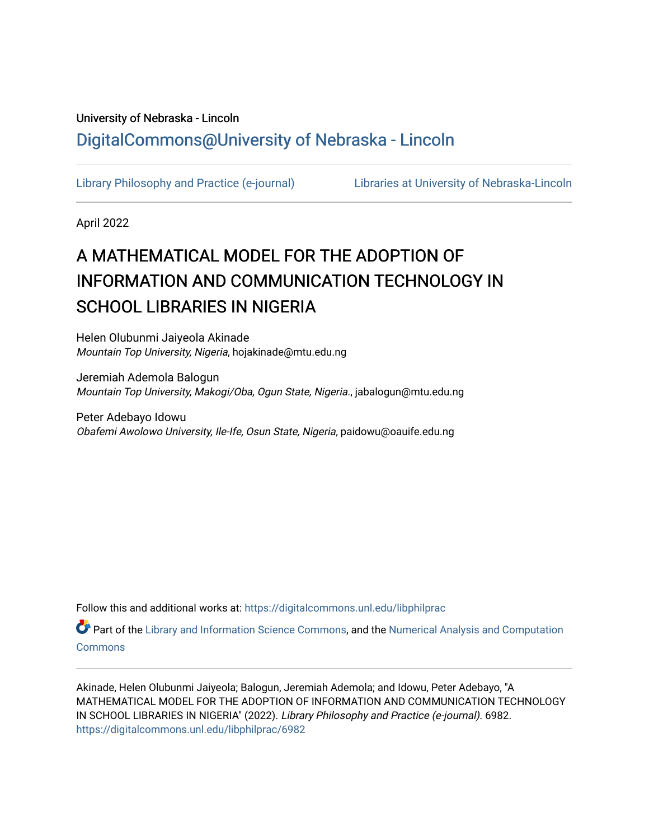# University of Nebraska - Lincoln [DigitalCommons@University of Nebraska - Lincoln](https://digitalcommons.unl.edu/)

[Library Philosophy and Practice \(e-journal\)](https://digitalcommons.unl.edu/libphilprac) [Libraries at University of Nebraska-Lincoln](https://digitalcommons.unl.edu/libraries) 

April 2022

# A MATHEMATICAL MODEL FOR THE ADOPTION OF INFORMATION AND COMMUNICATION TECHNOLOGY IN SCHOOL LIBRARIES IN NIGERIA

Helen Olubunmi Jaiyeola Akinade Mountain Top University, Nigeria, hojakinade@mtu.edu.ng

Jeremiah Ademola Balogun Mountain Top University, Makogi/Oba, Ogun State, Nigeria., jabalogun@mtu.edu.ng

Peter Adebayo Idowu Obafemi Awolowo University, Ile-Ife, Osun State, Nigeria, paidowu@oauife.edu.ng

Follow this and additional works at: [https://digitalcommons.unl.edu/libphilprac](https://digitalcommons.unl.edu/libphilprac?utm_source=digitalcommons.unl.edu%2Flibphilprac%2F6982&utm_medium=PDF&utm_campaign=PDFCoverPages) 

Part of the [Library and Information Science Commons,](http://network.bepress.com/hgg/discipline/1018?utm_source=digitalcommons.unl.edu%2Flibphilprac%2F6982&utm_medium=PDF&utm_campaign=PDFCoverPages) and the [Numerical Analysis and Computation](http://network.bepress.com/hgg/discipline/119?utm_source=digitalcommons.unl.edu%2Flibphilprac%2F6982&utm_medium=PDF&utm_campaign=PDFCoverPages)  **[Commons](http://network.bepress.com/hgg/discipline/119?utm_source=digitalcommons.unl.edu%2Flibphilprac%2F6982&utm_medium=PDF&utm_campaign=PDFCoverPages)** 

Akinade, Helen Olubunmi Jaiyeola; Balogun, Jeremiah Ademola; and Idowu, Peter Adebayo, "A MATHEMATICAL MODEL FOR THE ADOPTION OF INFORMATION AND COMMUNICATION TECHNOLOGY IN SCHOOL LIBRARIES IN NIGERIA" (2022). Library Philosophy and Practice (e-journal). 6982. [https://digitalcommons.unl.edu/libphilprac/6982](https://digitalcommons.unl.edu/libphilprac/6982?utm_source=digitalcommons.unl.edu%2Flibphilprac%2F6982&utm_medium=PDF&utm_campaign=PDFCoverPages)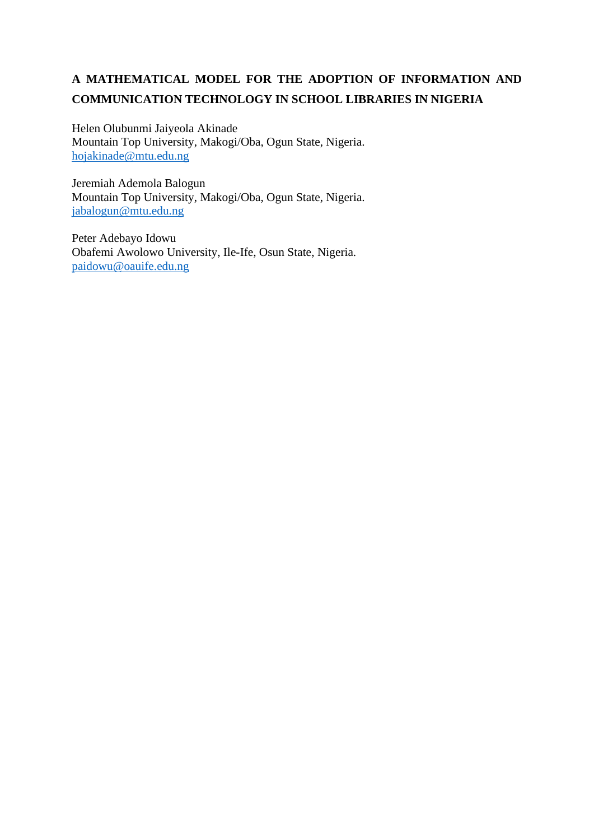# **A MATHEMATICAL MODEL FOR THE ADOPTION OF INFORMATION AND COMMUNICATION TECHNOLOGY IN SCHOOL LIBRARIES IN NIGERIA**

Helen Olubunmi Jaiyeola Akinade Mountain Top University, Makogi/Oba, Ogun State, Nigeria. [hojakinade@mtu.edu.ng](mailto:hojakinade@mtu.edu.ng)

Jeremiah Ademola Balogun Mountain Top University, Makogi/Oba, Ogun State, Nigeria. [jabalogun@mtu.edu.ng](mailto:jabalogun@mtu.edu.ng)

Peter Adebayo Idowu Obafemi Awolowo University, Ile-Ife, Osun State, Nigeria. [paidowu@oauife.edu.ng](mailto:paidowu@oauife.edu.ng)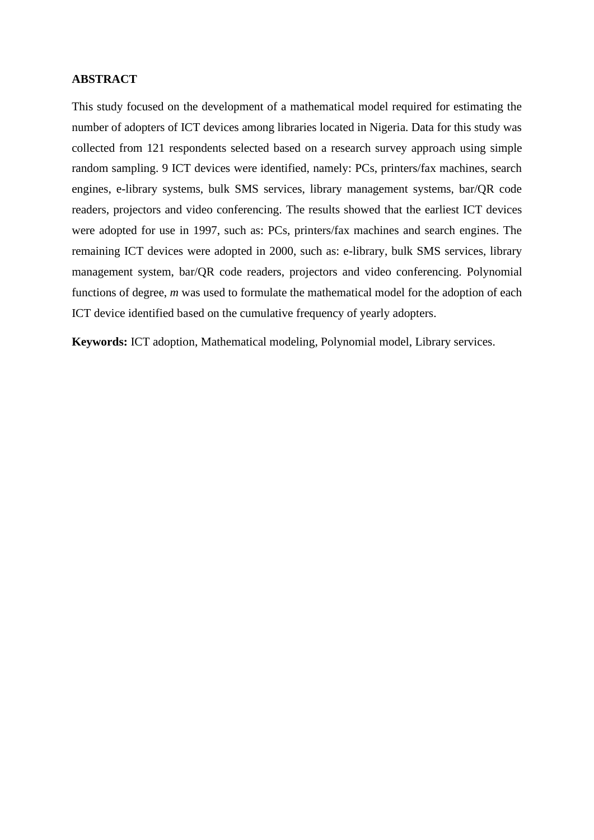# **ABSTRACT**

This study focused on the development of a mathematical model required for estimating the number of adopters of ICT devices among libraries located in Nigeria. Data for this study was collected from 121 respondents selected based on a research survey approach using simple random sampling. 9 ICT devices were identified, namely: PCs, printers/fax machines, search engines, e-library systems, bulk SMS services, library management systems, bar/QR code readers, projectors and video conferencing. The results showed that the earliest ICT devices were adopted for use in 1997, such as: PCs, printers/fax machines and search engines. The remaining ICT devices were adopted in 2000, such as: e-library, bulk SMS services, library management system, bar/QR code readers, projectors and video conferencing. Polynomial functions of degree, *m* was used to formulate the mathematical model for the adoption of each ICT device identified based on the cumulative frequency of yearly adopters.

**Keywords:** ICT adoption, Mathematical modeling, Polynomial model, Library services.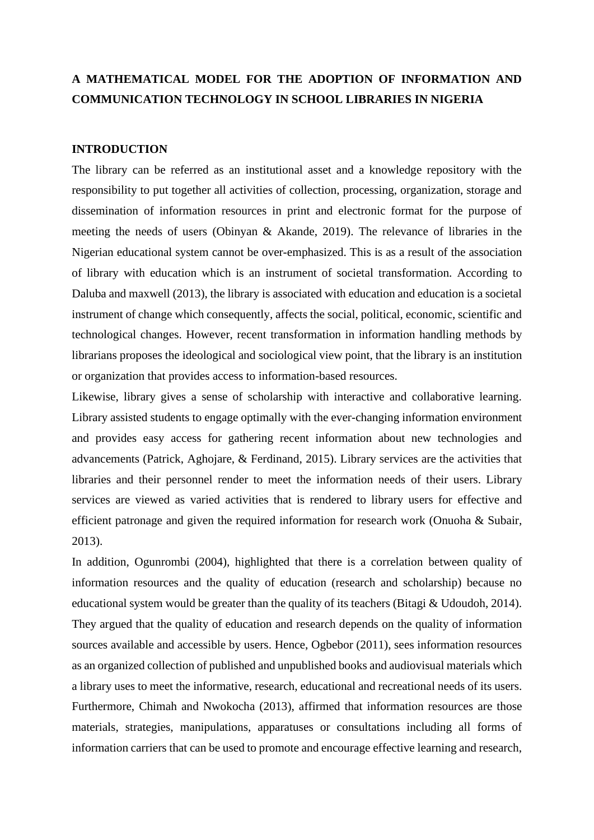# **A MATHEMATICAL MODEL FOR THE ADOPTION OF INFORMATION AND COMMUNICATION TECHNOLOGY IN SCHOOL LIBRARIES IN NIGERIA**

#### **INTRODUCTION**

The library can be referred as an institutional asset and a knowledge repository with the responsibility to put together all activities of collection, processing, organization, storage and dissemination of information resources in print and electronic format for the purpose of meeting the needs of users (Obinyan & Akande, 2019). The relevance of libraries in the Nigerian educational system cannot be over-emphasized. This is as a result of the association of library with education which is an instrument of societal transformation. According to Daluba and maxwell (2013), the library is associated with education and education is a societal instrument of change which consequently, affects the social, political, economic, scientific and technological changes. However, recent transformation in information handling methods by librarians proposes the ideological and sociological view point, that the library is an institution or organization that provides access to information-based resources.

Likewise, library gives a sense of scholarship with interactive and collaborative learning. Library assisted students to engage optimally with the ever-changing information environment and provides easy access for gathering recent information about new technologies and advancements (Patrick, Aghojare, & Ferdinand, 2015). Library services are the activities that libraries and their personnel render to meet the information needs of their users. Library services are viewed as varied activities that is rendered to library users for effective and efficient patronage and given the required information for research work (Onuoha & Subair, 2013).

In addition, Ogunrombi (2004), highlighted that there is a correlation between quality of information resources and the quality of education (research and scholarship) because no educational system would be greater than the quality of its teachers (Bitagi & Udoudoh, 2014). They argued that the quality of education and research depends on the quality of information sources available and accessible by users. Hence, Ogbebor (2011), sees information resources as an organized collection of published and unpublished books and audiovisual materials which a library uses to meet the informative, research, educational and recreational needs of its users. Furthermore, Chimah and Nwokocha (2013), affirmed that information resources are those materials, strategies, manipulations, apparatuses or consultations including all forms of information carriers that can be used to promote and encourage effective learning and research,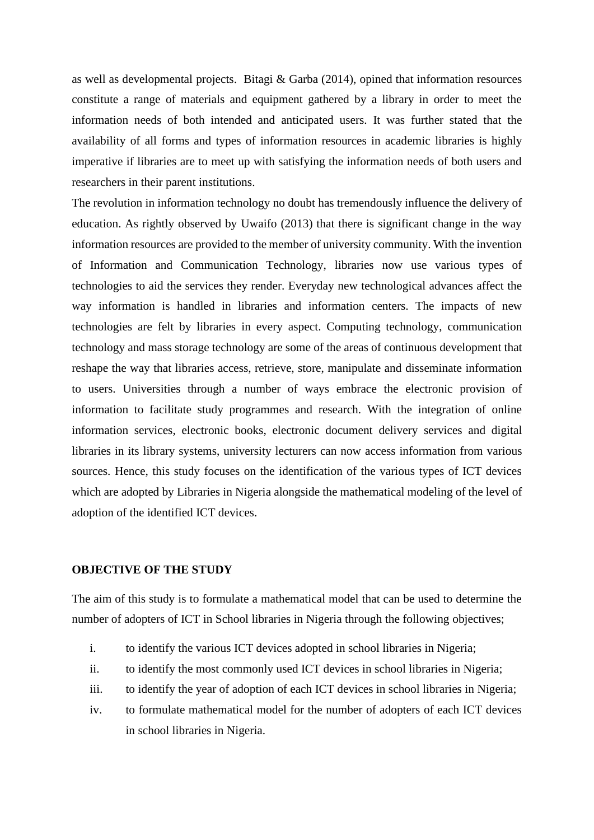as well as developmental projects. Bitagi & Garba (2014), opined that information resources constitute a range of materials and equipment gathered by a library in order to meet the information needs of both intended and anticipated users. It was further stated that the availability of all forms and types of information resources in academic libraries is highly imperative if libraries are to meet up with satisfying the information needs of both users and researchers in their parent institutions.

The revolution in information technology no doubt has tremendously influence the delivery of education. As rightly observed by Uwaifo (2013) that there is significant change in the way information resources are provided to the member of university community. With the invention of Information and Communication Technology, libraries now use various types of technologies to aid the services they render. Everyday new technological advances affect the way information is handled in libraries and information centers. The impacts of new technologies are felt by libraries in every aspect. Computing technology, communication technology and mass storage technology are some of the areas of continuous development that reshape the way that libraries access, retrieve, store, manipulate and disseminate information to users. Universities through a number of ways embrace the electronic provision of information to facilitate study programmes and research. With the integration of online information services, electronic books, electronic document delivery services and digital libraries in its library systems, university lecturers can now access information from various sources. Hence, this study focuses on the identification of the various types of ICT devices which are adopted by Libraries in Nigeria alongside the mathematical modeling of the level of adoption of the identified ICT devices.

#### **OBJECTIVE OF THE STUDY**

The aim of this study is to formulate a mathematical model that can be used to determine the number of adopters of ICT in School libraries in Nigeria through the following objectives;

- i. to identify the various ICT devices adopted in school libraries in Nigeria;
- ii. to identify the most commonly used ICT devices in school libraries in Nigeria;
- iii. to identify the year of adoption of each ICT devices in school libraries in Nigeria;
- iv. to formulate mathematical model for the number of adopters of each ICT devices in school libraries in Nigeria.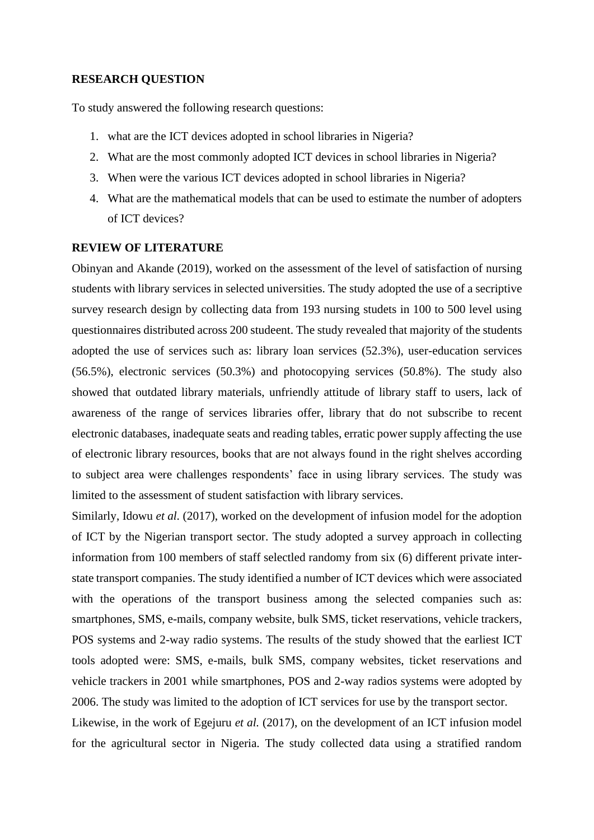# **RESEARCH QUESTION**

To study answered the following research questions:

- 1. what are the ICT devices adopted in school libraries in Nigeria?
- 2. What are the most commonly adopted ICT devices in school libraries in Nigeria?
- 3. When were the various ICT devices adopted in school libraries in Nigeria?
- 4. What are the mathematical models that can be used to estimate the number of adopters of ICT devices?

# **REVIEW OF LITERATURE**

Obinyan and Akande (2019), worked on the assessment of the level of satisfaction of nursing students with library services in selected universities. The study adopted the use of a secriptive survey research design by collecting data from 193 nursing studets in 100 to 500 level using questionnaires distributed across 200 studeent. The study revealed that majority of the students adopted the use of services such as: library loan services (52.3%), user-education services (56.5%), electronic services (50.3%) and photocopying services (50.8%). The study also showed that outdated library materials, unfriendly attitude of library staff to users, lack of awareness of the range of services libraries offer, library that do not subscribe to recent electronic databases, inadequate seats and reading tables, erratic power supply affecting the use of electronic library resources, books that are not always found in the right shelves according to subject area were challenges respondents' face in using library services. The study was limited to the assessment of student satisfaction with library services.

Similarly, Idowu *et al.* (2017), worked on the development of infusion model for the adoption of ICT by the Nigerian transport sector. The study adopted a survey approach in collecting information from 100 members of staff selectled randomy from six (6) different private interstate transport companies. The study identified a number of ICT devices which were associated with the operations of the transport business among the selected companies such as: smartphones, SMS, e-mails, company website, bulk SMS, ticket reservations, vehicle trackers, POS systems and 2-way radio systems. The results of the study showed that the earliest ICT tools adopted were: SMS, e-mails, bulk SMS, company websites, ticket reservations and vehicle trackers in 2001 while smartphones, POS and 2-way radios systems were adopted by 2006. The study was limited to the adoption of ICT services for use by the transport sector. Likewise, in the work of Egejuru *et al.* (2017), on the development of an ICT infusion model for the agricultural sector in Nigeria. The study collected data using a stratified random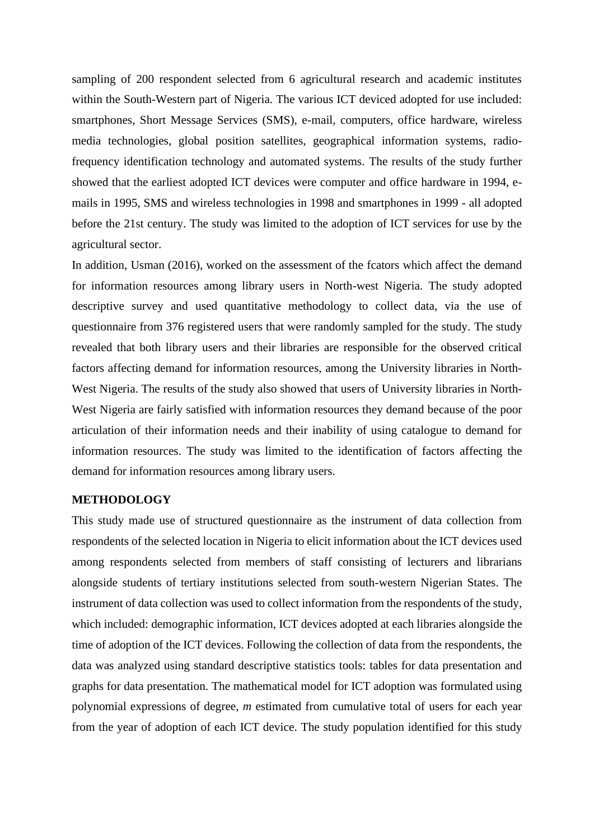sampling of 200 respondent selected from 6 agricultural research and academic institutes within the South-Western part of Nigeria. The various ICT deviced adopted for use included: smartphones, Short Message Services (SMS), e-mail, computers, office hardware, wireless media technologies, global position satellites, geographical information systems, radiofrequency identification technology and automated systems. The results of the study further showed that the earliest adopted ICT devices were computer and office hardware in 1994, emails in 1995, SMS and wireless technologies in 1998 and smartphones in 1999 - all adopted before the 21st century. The study was limited to the adoption of ICT services for use by the agricultural sector.

In addition, Usman (2016), worked on the assessment of the fcators which affect the demand for information resources among library users in North-west Nigeria. The study adopted descriptive survey and used quantitative methodology to collect data, via the use of questionnaire from 376 registered users that were randomly sampled for the study. The study revealed that both library users and their libraries are responsible for the observed critical factors affecting demand for information resources, among the University libraries in North-West Nigeria. The results of the study also showed that users of University libraries in North-West Nigeria are fairly satisfied with information resources they demand because of the poor articulation of their information needs and their inability of using catalogue to demand for information resources. The study was limited to the identification of factors affecting the demand for information resources among library users.

## **METHODOLOGY**

This study made use of structured questionnaire as the instrument of data collection from respondents of the selected location in Nigeria to elicit information about the ICT devices used among respondents selected from members of staff consisting of lecturers and librarians alongside students of tertiary institutions selected from south-western Nigerian States. The instrument of data collection was used to collect information from the respondents of the study, which included: demographic information, ICT devices adopted at each libraries alongside the time of adoption of the ICT devices. Following the collection of data from the respondents, the data was analyzed using standard descriptive statistics tools: tables for data presentation and graphs for data presentation. The mathematical model for ICT adoption was formulated using polynomial expressions of degree, *m* estimated from cumulative total of users for each year from the year of adoption of each ICT device. The study population identified for this study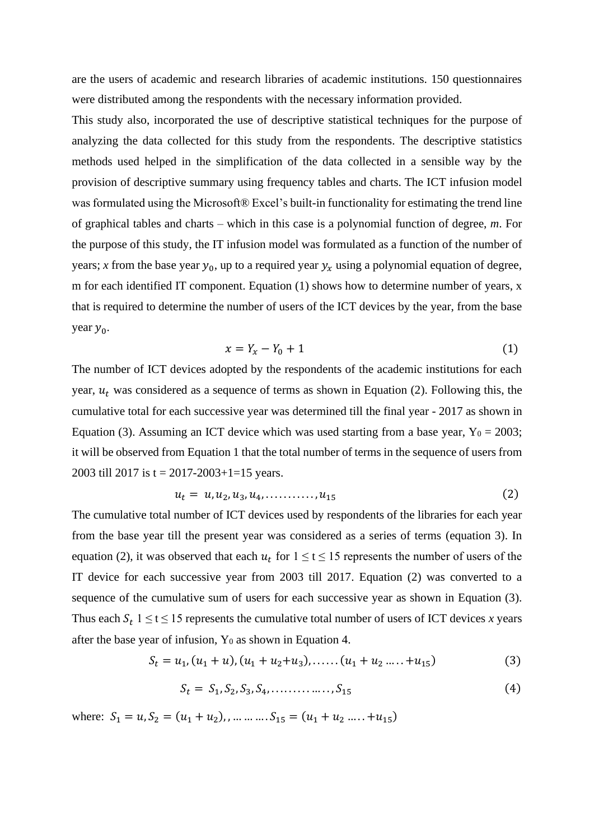are the users of academic and research libraries of academic institutions. 150 questionnaires were distributed among the respondents with the necessary information provided.

This study also, incorporated the use of descriptive statistical techniques for the purpose of analyzing the data collected for this study from the respondents. The descriptive statistics methods used helped in the simplification of the data collected in a sensible way by the provision of descriptive summary using frequency tables and charts. The ICT infusion model was formulated using the Microsoft® Excel's built-in functionality for estimating the trend line of graphical tables and charts – which in this case is a polynomial function of degree, *m*. For the purpose of this study, the IT infusion model was formulated as a function of the number of years; *x* from the base year  $y_0$ , up to a required year  $y_x$  using a polynomial equation of degree, m for each identified IT component. Equation (1) shows how to determine number of years, x that is required to determine the number of users of the ICT devices by the year, from the base year  $y_0$ .

$$
x = Y_x - Y_0 + 1 \tag{1}
$$

The number of ICT devices adopted by the respondents of the academic institutions for each year,  $u_t$  was considered as a sequence of terms as shown in Equation (2). Following this, the cumulative total for each successive year was determined till the final year - 2017 as shown in Equation (3). Assuming an ICT device which was used starting from a base year,  $Y_0 = 2003$ ; it will be observed from Equation 1 that the total number of terms in the sequence of users from 2003 till 2017 is t = 2017-2003+1=15 years.

$$
u_t = u, u_2, u_3, u_4, \dots, u_{15}
$$
 (2)

The cumulative total number of ICT devices used by respondents of the libraries for each year from the base year till the present year was considered as a series of terms (equation 3). In equation (2), it was observed that each  $u_t$  for  $1 \le t \le 15$  represents the number of users of the IT device for each successive year from 2003 till 2017. Equation (2) was converted to a sequence of the cumulative sum of users for each successive year as shown in Equation (3). Thus each  $S_t$  1  $\leq$  t  $\leq$  15 represents the cumulative total number of users of ICT devices *x* years after the base year of infusion,  $Y_0$  as shown in Equation 4.

$$
S_t = u_1, (u_1 + u), (u_1 + u_2 + u_3), \dots, (u_1 + u_2 + u_3)
$$
 (3)

$$
S_t = S_1, S_2, S_3, S_4, \dots, S_{15}
$$
 (4)

where:  $S_1 = u, S_2 = (u_1 + u_2), \dots \dots \dots S_{15} = (u_1 + u_2 \dots \dots \dots \dots \dots \dots \dots$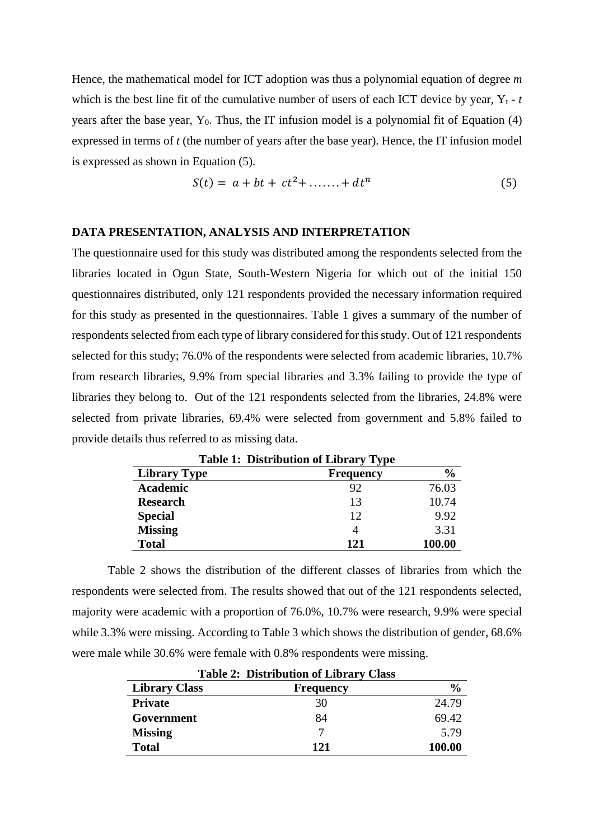Hence, the mathematical model for ICT adoption was thus a polynomial equation of degree *m*  which is the best line fit of the cumulative number of users of each ICT device by year,  $Y_t$  -  $t$ years after the base year,  $Y_0$ . Thus, the IT infusion model is a polynomial fit of Equation (4) expressed in terms of *t* (the number of years after the base year). Hence, the IT infusion model is expressed as shown in Equation (5).

$$
S(t) = a + bt + ct2 + \dots + dtn
$$
 (5)

#### **DATA PRESENTATION, ANALYSIS AND INTERPRETATION**

The questionnaire used for this study was distributed among the respondents selected from the libraries located in Ogun State, South-Western Nigeria for which out of the initial 150 questionnaires distributed, only 121 respondents provided the necessary information required for this study as presented in the questionnaires. Table 1 gives a summary of the number of respondents selected from each type of library considered for this study. Out of 121 respondents selected for this study; 76.0% of the respondents were selected from academic libraries, 10.7% from research libraries, 9.9% from special libraries and 3.3% failing to provide the type of libraries they belong to. Out of the 121 respondents selected from the libraries, 24.8% were selected from private libraries, 69.4% were selected from government and 5.8% failed to provide details thus referred to as missing data.

| <b>Table 1: Distribution of Library Type</b> |                  |               |  |  |  |  |  |  |  |  |  |
|----------------------------------------------|------------------|---------------|--|--|--|--|--|--|--|--|--|
| <b>Library Type</b>                          | <b>Frequency</b> | $\frac{0}{0}$ |  |  |  |  |  |  |  |  |  |
| <b>Academic</b>                              | 92               | 76.03         |  |  |  |  |  |  |  |  |  |
| <b>Research</b>                              | 13               | 10.74         |  |  |  |  |  |  |  |  |  |
| <b>Special</b>                               | 12               | 9.92          |  |  |  |  |  |  |  |  |  |
| <b>Missing</b>                               | 4                | 3.31          |  |  |  |  |  |  |  |  |  |
| <b>Total</b>                                 | 121              | 100.00        |  |  |  |  |  |  |  |  |  |

Table 2 shows the distribution of the different classes of libraries from which the respondents were selected from. The results showed that out of the 121 respondents selected, majority were academic with a proportion of 76.0%, 10.7% were research, 9.9% were special while 3.3% were missing. According to Table 3 which shows the distribution of gender, 68.6% were male while 30.6% were female with 0.8% respondents were missing.

| <b>Table 2: Distribution of Library Class</b> |                  |               |  |  |  |  |  |  |  |  |  |
|-----------------------------------------------|------------------|---------------|--|--|--|--|--|--|--|--|--|
| <b>Library Class</b>                          | <b>Frequency</b> | $\frac{6}{9}$ |  |  |  |  |  |  |  |  |  |
| <b>Private</b>                                | 30               | 24.79         |  |  |  |  |  |  |  |  |  |
| Government                                    | 84               | 69.42         |  |  |  |  |  |  |  |  |  |
| <b>Missing</b>                                |                  | 5.79          |  |  |  |  |  |  |  |  |  |
| <b>Total</b>                                  | 121              | 100.00        |  |  |  |  |  |  |  |  |  |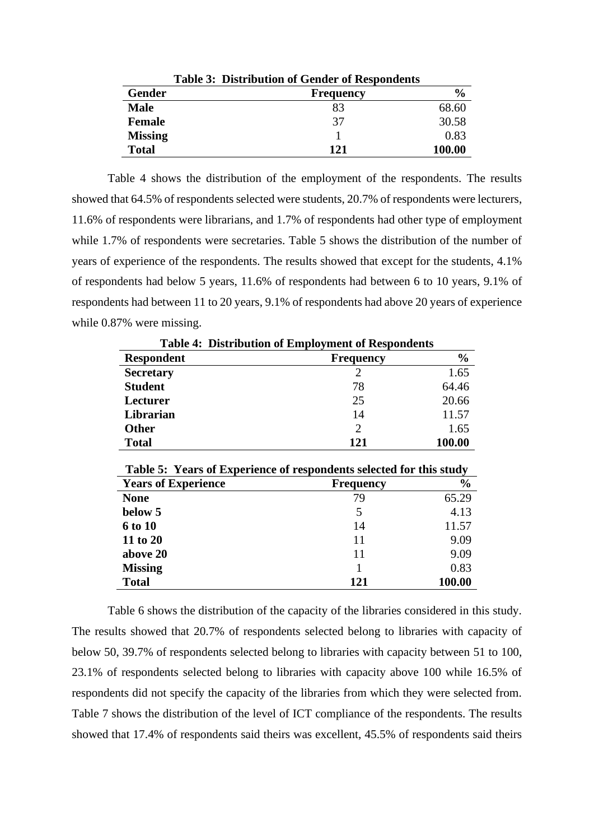|                | <b>Table 3: Distribution of Gender of Respondents</b> |               |
|----------------|-------------------------------------------------------|---------------|
| Gender         | <b>Frequency</b>                                      | $\frac{0}{0}$ |
| <b>Male</b>    | 83                                                    | 68.60         |
| <b>Female</b>  | 37                                                    | 30.58         |
| <b>Missing</b> |                                                       | 0.83          |
| <b>Total</b>   | 121                                                   | 100.00        |

Table 4 shows the distribution of the employment of the respondents. The results showed that 64.5% of respondents selected were students, 20.7% of respondents were lecturers, 11.6% of respondents were librarians, and 1.7% of respondents had other type of employment while 1.7% of respondents were secretaries. Table 5 shows the distribution of the number of years of experience of the respondents. The results showed that except for the students, 4.1% of respondents had below 5 years, 11.6% of respondents had between 6 to 10 years, 9.1% of respondents had between 11 to 20 years, 9.1% of respondents had above 20 years of experience while 0.87% were missing.

|                   | <b>Table 4: Distribution of Employment of Respondents</b> |               |
|-------------------|-----------------------------------------------------------|---------------|
| <b>Respondent</b> | <b>Frequency</b>                                          | $\frac{0}{0}$ |
| <b>Secretary</b>  |                                                           | 1.65          |
| <b>Student</b>    | 78                                                        | 64.46         |
| Lecturer          | 25                                                        | 20.66         |
| Librarian         | 14                                                        | 11.57         |
| <b>Other</b>      | 2                                                         | 1.65          |
| <b>Total</b>      | 121                                                       | 100.00        |

| Table 5: Years of Experience of respondents selected for this study |                  |               |  |  |  |  |  |  |  |  |  |
|---------------------------------------------------------------------|------------------|---------------|--|--|--|--|--|--|--|--|--|
| <b>Years of Experience</b>                                          | <b>Frequency</b> | $\frac{6}{6}$ |  |  |  |  |  |  |  |  |  |
| <b>None</b>                                                         | 79               | 65.29         |  |  |  |  |  |  |  |  |  |
| below 5                                                             | 5                | 4.13          |  |  |  |  |  |  |  |  |  |
| <b>6 to 10</b>                                                      | 14               | 11.57         |  |  |  |  |  |  |  |  |  |
| 11 to 20                                                            | 11               | 9.09          |  |  |  |  |  |  |  |  |  |
| above 20                                                            | 11               | 9.09          |  |  |  |  |  |  |  |  |  |
| <b>Missing</b>                                                      |                  | 0.83          |  |  |  |  |  |  |  |  |  |
| <b>Total</b>                                                        | 121              | 100.00        |  |  |  |  |  |  |  |  |  |

Table 6 shows the distribution of the capacity of the libraries considered in this study. The results showed that 20.7% of respondents selected belong to libraries with capacity of below 50, 39.7% of respondents selected belong to libraries with capacity between 51 to 100, 23.1% of respondents selected belong to libraries with capacity above 100 while 16.5% of respondents did not specify the capacity of the libraries from which they were selected from. Table 7 shows the distribution of the level of ICT compliance of the respondents. The results showed that 17.4% of respondents said theirs was excellent, 45.5% of respondents said theirs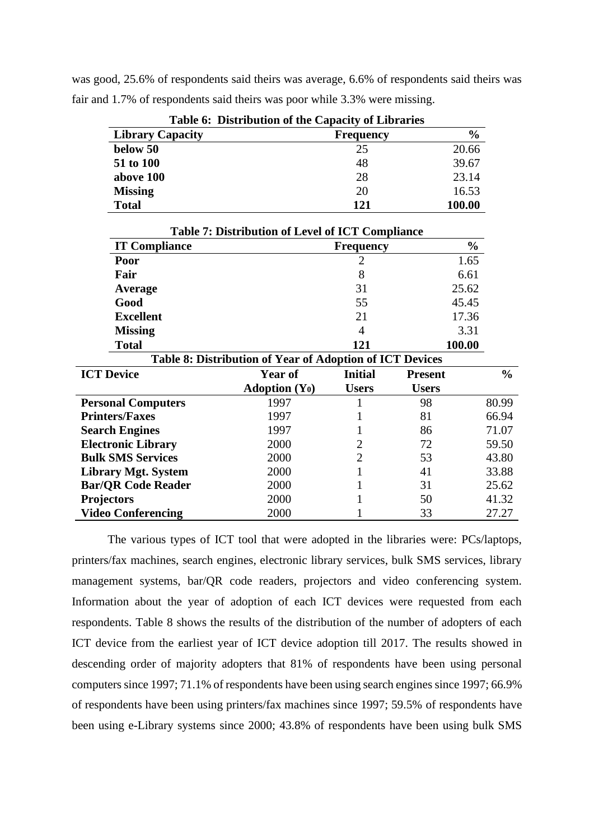was good, 25.6% of respondents said theirs was average, 6.6% of respondents said theirs was fair and 1.7% of respondents said theirs was poor while 3.3% were missing.

| <b>Table 6: Distribution of the Capacity of Libraries</b> |                  |               |  |  |  |  |  |  |  |  |  |
|-----------------------------------------------------------|------------------|---------------|--|--|--|--|--|--|--|--|--|
| <b>Library Capacity</b>                                   | <b>Frequency</b> | $\frac{0}{0}$ |  |  |  |  |  |  |  |  |  |
| below 50                                                  | 25               | 20.66         |  |  |  |  |  |  |  |  |  |
| 51 to 100                                                 | 48               | 39.67         |  |  |  |  |  |  |  |  |  |
| above 100                                                 | 28               | 23.14         |  |  |  |  |  |  |  |  |  |
| <b>Missing</b>                                            | 20               | 16.53         |  |  |  |  |  |  |  |  |  |
| <b>Total</b>                                              | 121              | 100.00        |  |  |  |  |  |  |  |  |  |

**Table 6: Distribution of the Capacity of Libraries**

|                           | <b>Table 7: Distribution of Level of ICT Compliance</b>  |                  |                |               |
|---------------------------|----------------------------------------------------------|------------------|----------------|---------------|
| <b>IT Compliance</b>      |                                                          | <b>Frequency</b> | $\frac{6}{6}$  |               |
| Poor                      |                                                          | $\overline{2}$   | 1.65           |               |
| Fair                      |                                                          | 8                | 6.61           |               |
| Average                   |                                                          | 31               | 25.62          |               |
| Good                      |                                                          | 55               | 45.45          |               |
| <b>Excellent</b>          |                                                          | 21               | 17.36          |               |
| <b>Missing</b>            |                                                          | $\overline{4}$   | 3.31           |               |
| <b>Total</b>              |                                                          | 121              | 100.00         |               |
|                           | Table 8: Distribution of Year of Adoption of ICT Devices |                  |                |               |
| <b>ICT Device</b>         | Year of                                                  | <b>Initial</b>   | <b>Present</b> | $\frac{0}{0}$ |
|                           | Adoption $(Y_0)$                                         | <b>Users</b>     | <b>Users</b>   |               |
| <b>Personal Computers</b> | 1997                                                     |                  | 98             | 80.99         |
| <b>Printers/Faxes</b>     | 1997                                                     |                  | 81             | 66.94         |
| <b>Search Engines</b>     | 1997                                                     |                  | 86             | 71.07         |
| <b>Electronic Library</b> | 2000                                                     | $\overline{2}$   | 72             | 59.50         |
| <b>Bulk SMS Services</b>  | 2000                                                     | 2                | 53             | 43.80         |
| Library Mgt. System       | 2000                                                     |                  | 41             | 33.88         |
| <b>Bar/QR Code Reader</b> | 2000                                                     |                  | 31             | 25.62         |
| <b>Projectors</b>         | 2000                                                     |                  | 50             | 41.32         |
| <b>Video Conferencing</b> | 2000                                                     |                  | 33             | 27.27         |

The various types of ICT tool that were adopted in the libraries were: PCs/laptops, printers/fax machines, search engines, electronic library services, bulk SMS services, library management systems, bar/QR code readers, projectors and video conferencing system. Information about the year of adoption of each ICT devices were requested from each respondents. Table 8 shows the results of the distribution of the number of adopters of each ICT device from the earliest year of ICT device adoption till 2017. The results showed in descending order of majority adopters that 81% of respondents have been using personal computers since 1997; 71.1% of respondents have been using search engines since 1997; 66.9% of respondents have been using printers/fax machines since 1997; 59.5% of respondents have been using e-Library systems since 2000; 43.8% of respondents have been using bulk SMS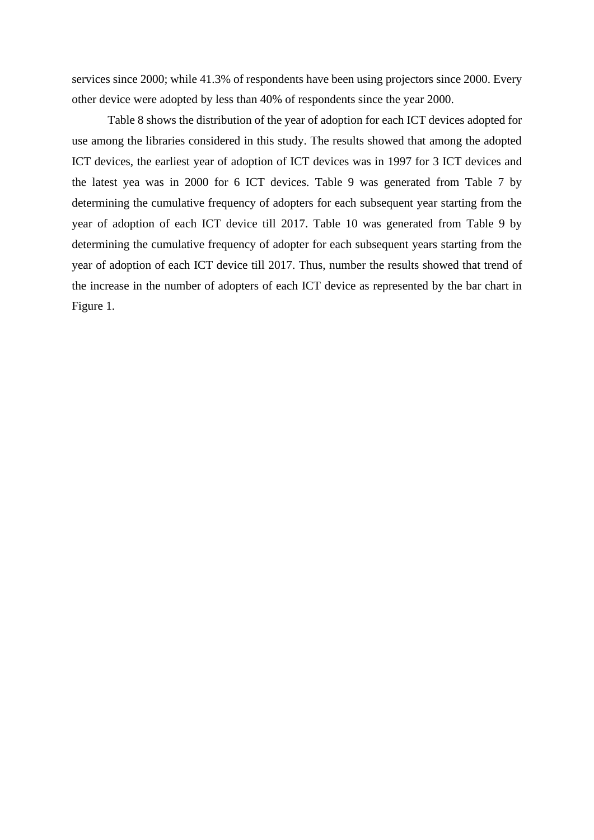services since 2000; while 41.3% of respondents have been using projectors since 2000. Every other device were adopted by less than 40% of respondents since the year 2000.

Table 8 shows the distribution of the year of adoption for each ICT devices adopted for use among the libraries considered in this study. The results showed that among the adopted ICT devices, the earliest year of adoption of ICT devices was in 1997 for 3 ICT devices and the latest yea was in 2000 for 6 ICT devices. Table 9 was generated from Table 7 by determining the cumulative frequency of adopters for each subsequent year starting from the year of adoption of each ICT device till 2017. Table 10 was generated from Table 9 by determining the cumulative frequency of adopter for each subsequent years starting from the year of adoption of each ICT device till 2017. Thus, number the results showed that trend of the increase in the number of adopters of each ICT device as represented by the bar chart in Figure 1.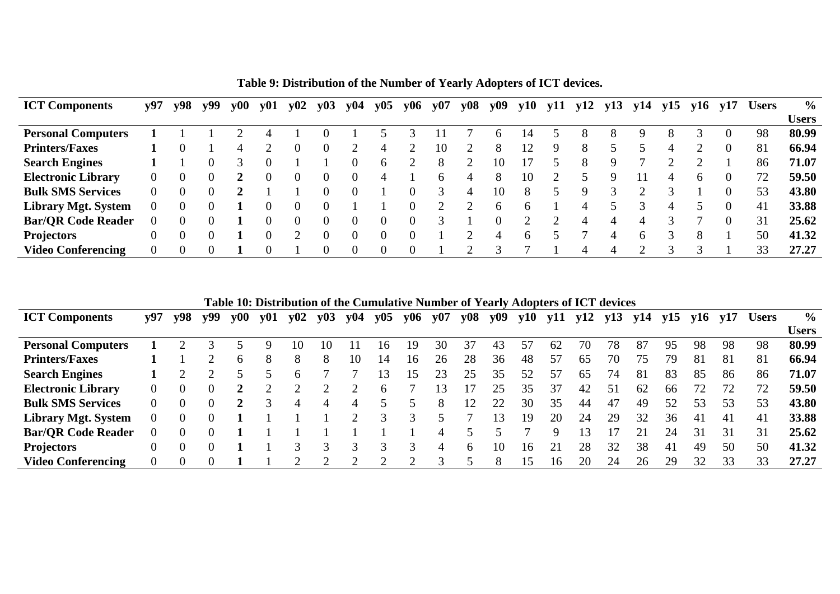| <b>ICT Components</b>      | y97      | y98 | y99 | $\bf v00$ | y01 | y02 | y03 | y04 | y05 | y06 | y07          | y <sub>08</sub> | y <sub>09</sub> | y10 | y11 | y12 | y13 | y14 | y15 | y16          | y17            | <b>Users</b> | $\frac{6}{10}$ |
|----------------------------|----------|-----|-----|-----------|-----|-----|-----|-----|-----|-----|--------------|-----------------|-----------------|-----|-----|-----|-----|-----|-----|--------------|----------------|--------------|----------------|
|                            |          |     |     |           |     |     |     |     |     |     |              |                 |                 |     |     |     |     |     |     |              |                |              | <b>Users</b>   |
| <b>Personal Computers</b>  |          |     |     |           |     |     |     |     |     |     |              |                 |                 | 14  |     |     | 8   | 9   |     |              | $\theta$       | 98           | 80.99          |
| <b>Printers/Faxes</b>      |          |     |     | 4         |     |     |     |     | 4   |     | 10           |                 | 8               |     | Q   |     |     |     | 4   |              | $\theta$       | 81           | 66.94          |
| <b>Search Engines</b>      |          |     |     |           |     |     |     | 0   | 6   |     | 8            | $\bigcap$       | 10              |     |     |     | Q   |     |     |              |                | 86           | 71.07          |
| <b>Electronic Library</b>  | $\Omega$ |     |     |           |     |     |     | 0   | 4   |     | <sub>6</sub> | 4               | 8               | 10  |     |     | 9   |     |     | <sub>0</sub> | $\theta$       | 72           | 59.50          |
| <b>Bulk SMS Services</b>   |          |     |     |           |     |     |     | 0   |     |     |              | 4               | 10              | 8   |     | Q   |     |     |     |              | $\Omega$       | 53           | 43.80          |
| <b>Library Mgt. System</b> |          |     |     |           |     |     |     |     |     |     |              |                 | <sub>0</sub>    | h   |     |     |     |     | 4   |              | $\overline{0}$ | 41           | 33.88          |
| <b>Bar/OR Code Reader</b>  | $\theta$ |     |     |           |     |     |     | 0   |     |     |              |                 |                 |     |     |     | 4   |     |     |              | $\Omega$       | 31           | 25.62          |
| <b>Projectors</b>          | 0        |     |     |           |     | ◠   |     | 0   |     |     |              | ◠               |                 | h   |     |     |     | h.  |     | 8            |                | 50           | 41.32          |
| <b>Video Conferencing</b>  |          |     |     |           |     |     |     | 0   |     |     |              | $\bigcap$       |                 |     |     | 4   |     | ി   |     |              |                | 33           | 27.27          |

**Table 9: Distribution of the Number of Yearly Adopters of ICT devices.**

**Table 10: Distribution of the Cumulative Number of Yearly Adopters of ICT devices**

| <b>ICT Components</b>      | у97 | v98 | v99 | $\bf v00$ | y01 | $y_{02}$ | y03 | y <sub>04</sub> | y05          | y06             | y07 | y <sub>08</sub> | y <sub>09</sub> | y10 | y11 | y12 | y13 | y14 | v15 | v16 | v17 | <b>Users</b> | $\frac{6}{9}$ |
|----------------------------|-----|-----|-----|-----------|-----|----------|-----|-----------------|--------------|-----------------|-----|-----------------|-----------------|-----|-----|-----|-----|-----|-----|-----|-----|--------------|---------------|
|                            |     |     |     |           |     |          |     |                 |              |                 |     |                 |                 |     |     |     |     |     |     |     |     |              | <b>Users</b>  |
| <b>Personal Computers</b>  |     |     |     |           |     |          | IO  |                 | l6           | 19              | 30  | 37              | 43              |     | 62  | 70  | 78  | 87  | 95  | 98  | 98  | 98           | 80.99         |
| <b>Printers/Faxes</b>      |     |     |     | 6         | 8   |          | 8   | 10              | 14           | 16              | 26  | 28              | 36              | 48  | 57  | 65  | 70  | 75  | 79  | -81 | 81  | 81           | 66.94         |
| <b>Search Engines</b>      |     |     |     |           |     |          |     |                 | 3            | $\overline{15}$ | 23  | 25              | 35              | 52  | 57  | 65  | 74  | 81  | 83  | 85  | 86  | 86           | 71.07         |
| <b>Electronic Library</b>  | 0   |     |     |           |     |          |     |                 | <sub>b</sub> |                 |     |                 | 25              | 35  | 37  | 42  | 51  | 62  | 66  |     | 72  |              | 59.50         |
| <b>Bulk SMS Services</b>   | 0   |     |     |           |     |          | 4   |                 |              |                 | 8   | 12              | 22              | 30  | 35  | 44  | 47  | 49  | 52  | 53  | 53  | 53           | 43.80         |
| <b>Library Mgt. System</b> |     |     |     |           |     |          |     |                 |              |                 |     |                 | 13              | 19  | 20  | 24  | 29  | 32  | 36  | 41  | 41  | 41           | 33.88         |
| <b>Bar/OR Code Reader</b>  |     |     |     |           |     |          |     |                 |              |                 | 4   |                 |                 |     | Q   |     |     |     | 24  | 31  | 31  | 31           | 25.62         |
| <b>Projectors</b>          |     |     |     |           |     |          |     |                 |              |                 | 4   | $\sigma$        | 10              | 16  |     | 28  | 32  | 38  | 41  | 49  | 50  | 50           | 41.32         |
| <b>Video Conferencing</b>  |     |     |     |           |     |          |     |                 |              |                 |     | ς               | х               | 15  | 16  | 20  | 24  | 26  | 29  | 32  | 33  | 33           | 27.27         |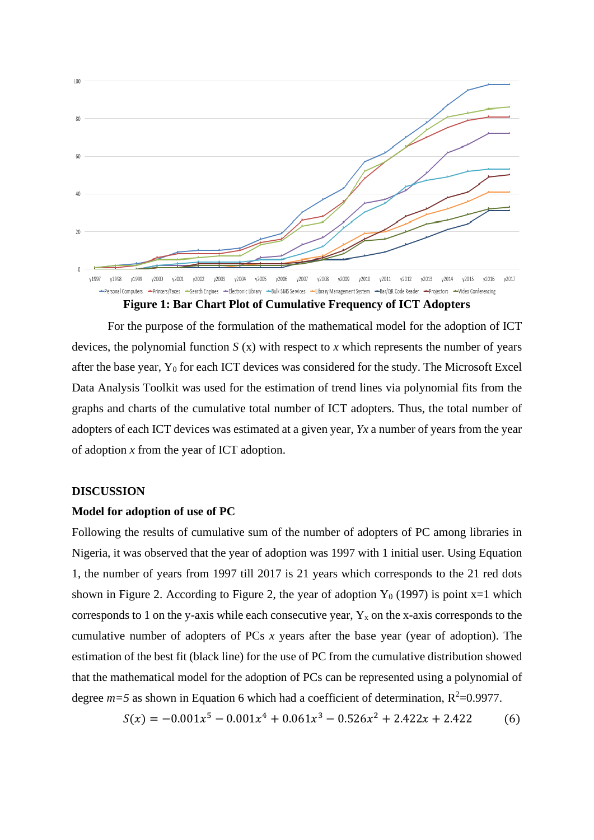

**Figure 1: Bar Chart Plot of Cumulative Frequency of ICT Adopters**

For the purpose of the formulation of the mathematical model for the adoption of ICT devices, the polynomial function *S* (x) with respect to *x* which represents the number of years after the base year, Y<sub>0</sub> for each ICT devices was considered for the study. The Microsoft Excel Data Analysis Toolkit was used for the estimation of trend lines via polynomial fits from the graphs and charts of the cumulative total number of ICT adopters. Thus, the total number of adopters of each ICT devices was estimated at a given year, *Yx* a number of years from the year of adoption *x* from the year of ICT adoption.

## **DISCUSSION**

#### **Model for adoption of use of PC**

Following the results of cumulative sum of the number of adopters of PC among libraries in Nigeria, it was observed that the year of adoption was 1997 with 1 initial user. Using Equation 1, the number of years from 1997 till 2017 is 21 years which corresponds to the 21 red dots shown in Figure 2. According to Figure 2, the year of adoption  $Y_0$  (1997) is point x=1 which corresponds to 1 on the y-axis while each consecutive year,  $Y_x$  on the x-axis corresponds to the cumulative number of adopters of PCs *x* years after the base year (year of adoption). The estimation of the best fit (black line) for the use of PC from the cumulative distribution showed that the mathematical model for the adoption of PCs can be represented using a polynomial of degree  $m=5$  as shown in Equation 6 which had a coefficient of determination,  $R^2=0.9977$ .

$$
S(x) = -0.001x^{5} - 0.001x^{4} + 0.061x^{3} - 0.526x^{2} + 2.422x + 2.422
$$
 (6)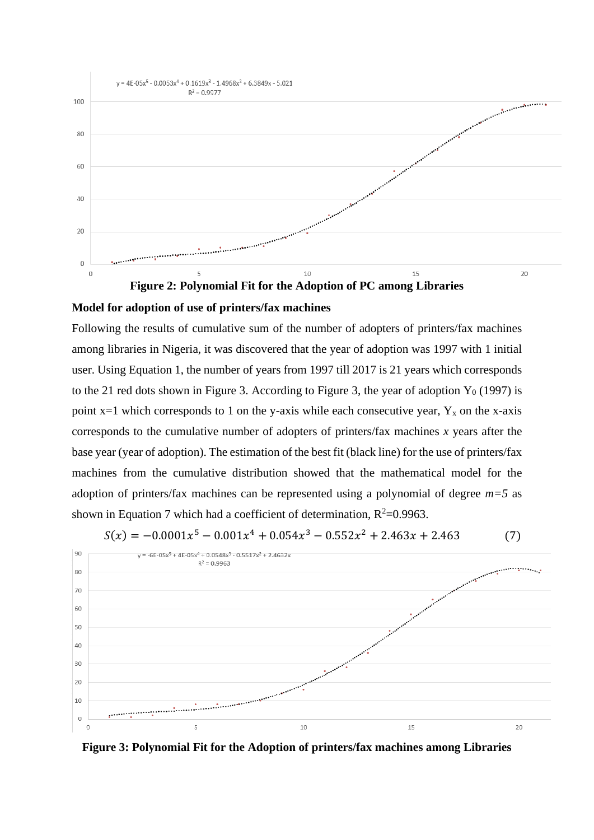

# **Model for adoption of use of printers/fax machines**

Following the results of cumulative sum of the number of adopters of printers/fax machines among libraries in Nigeria, it was discovered that the year of adoption was 1997 with 1 initial user. Using Equation 1, the number of years from 1997 till 2017 is 21 years which corresponds to the 21 red dots shown in Figure 3. According to Figure 3, the year of adoption  $Y_0$  (1997) is point  $x=1$  which corresponds to 1 on the y-axis while each consecutive year,  $Y_x$  on the x-axis corresponds to the cumulative number of adopters of printers/fax machines *x* years after the base year (year of adoption). The estimation of the best fit (black line) for the use of printers/fax machines from the cumulative distribution showed that the mathematical model for the adoption of printers/fax machines can be represented using a polynomial of degree *m=5* as shown in Equation 7 which had a coefficient of determination,  $R^2$ =0.9963.



 $S(x) = -0.0001x^{5} - 0.001x^{4} + 0.054x^{3} - 0.552x^{2} + 2.463x + 2.463$  (7)

**Figure 3: Polynomial Fit for the Adoption of printers/fax machines among Libraries**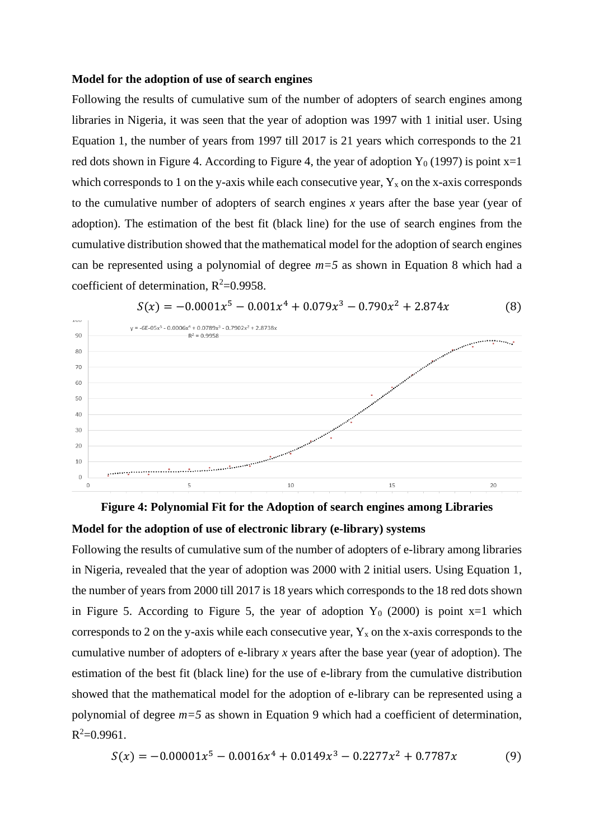#### **Model for the adoption of use of search engines**

Following the results of cumulative sum of the number of adopters of search engines among libraries in Nigeria, it was seen that the year of adoption was 1997 with 1 initial user. Using Equation 1, the number of years from 1997 till 2017 is 21 years which corresponds to the 21 red dots shown in Figure 4. According to Figure 4, the year of adoption  $Y_0$  (1997) is point  $x=1$ which corresponds to 1 on the y-axis while each consecutive year,  $Y_x$  on the x-axis corresponds to the cumulative number of adopters of search engines *x* years after the base year (year of adoption). The estimation of the best fit (black line) for the use of search engines from the cumulative distribution showed that the mathematical model for the adoption of search engines can be represented using a polynomial of degree *m=5* as shown in Equation 8 which had a coefficient of determination,  $R^2=0.9958$ .





**Figure 4: Polynomial Fit for the Adoption of search engines among Libraries Model for the adoption of use of electronic library (e-library) systems**

Following the results of cumulative sum of the number of adopters of e-library among libraries in Nigeria, revealed that the year of adoption was 2000 with 2 initial users. Using Equation 1, the number of years from 2000 till 2017 is 18 years which corresponds to the 18 red dots shown in Figure 5. According to Figure 5, the year of adoption  $Y_0$  (2000) is point x=1 which corresponds to 2 on the y-axis while each consecutive year,  $Y_x$  on the x-axis corresponds to the cumulative number of adopters of e-library *x* years after the base year (year of adoption). The estimation of the best fit (black line) for the use of e-library from the cumulative distribution showed that the mathematical model for the adoption of e-library can be represented using a polynomial of degree *m=5* as shown in Equation 9 which had a coefficient of determination,  $R^2 = 0.9961$ .

$$
S(x) = -0.00001x^{5} - 0.0016x^{4} + 0.0149x^{3} - 0.2277x^{2} + 0.7787x
$$
 (9)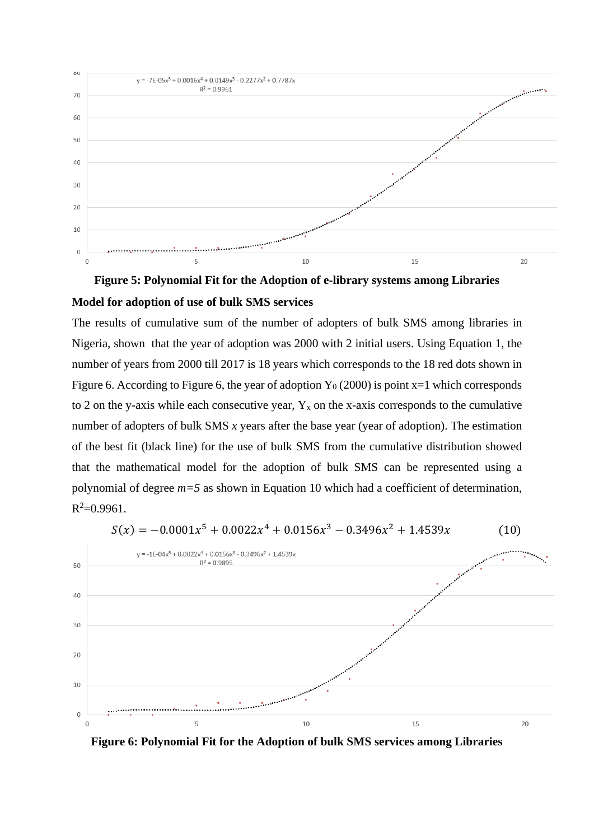



The results of cumulative sum of the number of adopters of bulk SMS among libraries in Nigeria, shown that the year of adoption was 2000 with 2 initial users. Using Equation 1, the number of years from 2000 till 2017 is 18 years which corresponds to the 18 red dots shown in Figure 6. According to Figure 6, the year of adoption  $Y_0$  (2000) is point x=1 which corresponds to 2 on the y-axis while each consecutive year,  $Y_x$  on the x-axis corresponds to the cumulative number of adopters of bulk SMS *x* years after the base year (year of adoption). The estimation of the best fit (black line) for the use of bulk SMS from the cumulative distribution showed that the mathematical model for the adoption of bulk SMS can be represented using a polynomial of degree *m=5* as shown in Equation 10 which had a coefficient of determination,  $R^2 = 0.9961$ .



 $S(x) = -0.0001x^{5} + 0.0022x^{4} + 0.0156x^{3} - 0.3496x^{2} + 1.4539x$  (10)

**Figure 6: Polynomial Fit for the Adoption of bulk SMS services among Libraries**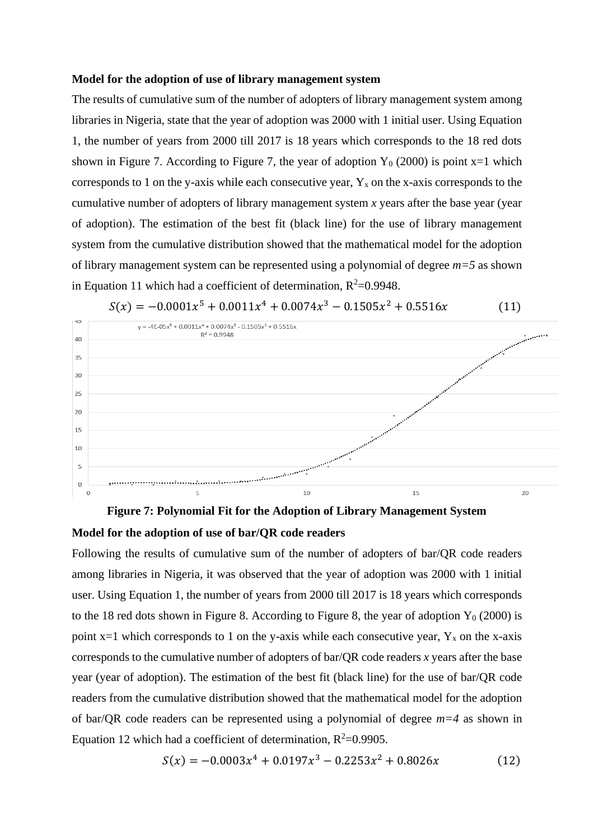#### **Model for the adoption of use of library management system**

The results of cumulative sum of the number of adopters of library management system among libraries in Nigeria, state that the year of adoption was 2000 with 1 initial user. Using Equation 1, the number of years from 2000 till 2017 is 18 years which corresponds to the 18 red dots shown in Figure 7. According to Figure 7, the year of adoption  $Y_0$  (2000) is point x=1 which corresponds to 1 on the y-axis while each consecutive year,  $Y_x$  on the x-axis corresponds to the cumulative number of adopters of library management system *x* years after the base year (year of adoption). The estimation of the best fit (black line) for the use of library management system from the cumulative distribution showed that the mathematical model for the adoption of library management system can be represented using a polynomial of degree *m=5* as shown in Equation 11 which had a coefficient of determination,  $R^2=0.9948$ .





**Model for the adoption of use of bar/QR code readers**

Following the results of cumulative sum of the number of adopters of bar/QR code readers among libraries in Nigeria, it was observed that the year of adoption was 2000 with 1 initial user. Using Equation 1, the number of years from 2000 till 2017 is 18 years which corresponds to the 18 red dots shown in Figure 8. According to Figure 8, the year of adoption  $Y_0$  (2000) is point  $x=1$  which corresponds to 1 on the y-axis while each consecutive year,  $Y_x$  on the x-axis corresponds to the cumulative number of adopters of bar/QR code readers *x* years after the base year (year of adoption). The estimation of the best fit (black line) for the use of bar/QR code readers from the cumulative distribution showed that the mathematical model for the adoption of bar/QR code readers can be represented using a polynomial of degree *m=4* as shown in Equation 12 which had a coefficient of determination,  $R^2$ =0.9905.

$$
S(x) = -0.0003x^{4} + 0.0197x^{3} - 0.2253x^{2} + 0.8026x
$$
 (12)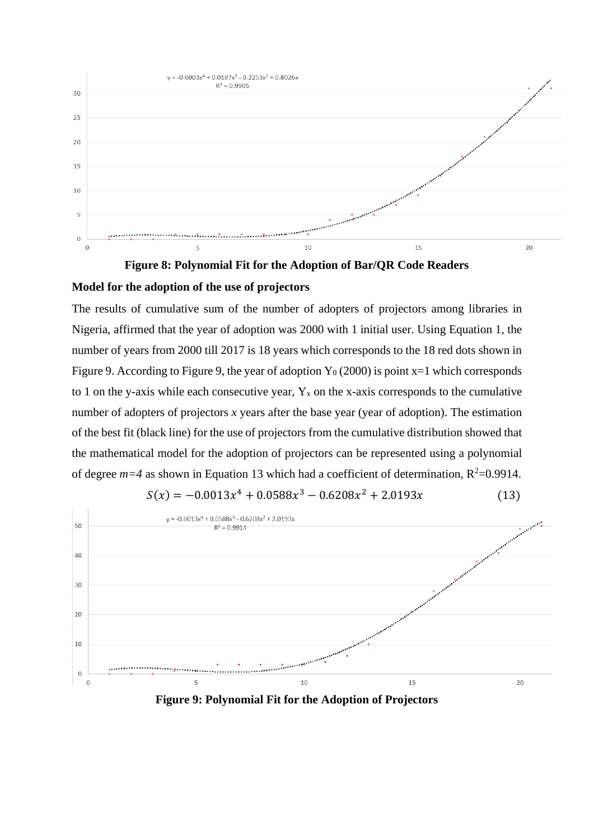

**Figure 8: Polynomial Fit for the Adoption of Bar/QR Code Readers Model for the adoption of the use of projectors**

The results of cumulative sum of the number of adopters of projectors among libraries in Nigeria, affirmed that the year of adoption was 2000 with 1 initial user. Using Equation 1, the number of years from 2000 till 2017 is 18 years which corresponds to the 18 red dots shown in Figure 9. According to Figure 9, the year of adoption  $Y_0$  (2000) is point x=1 which corresponds to 1 on the y-axis while each consecutive year,  $Y_x$  on the x-axis corresponds to the cumulative number of adopters of projectors *x* years after the base year (year of adoption). The estimation of the best fit (black line) for the use of projectors from the cumulative distribution showed that the mathematical model for the adoption of projectors can be represented using a polynomial of degree  $m=4$  as shown in Equation 13 which had a coefficient of determination,  $R^2=0.9914$ .



$$
S(x) = -0.0013x^{4} + 0.0588x^{3} - 0.6208x^{2} + 2.0193x
$$
 (13)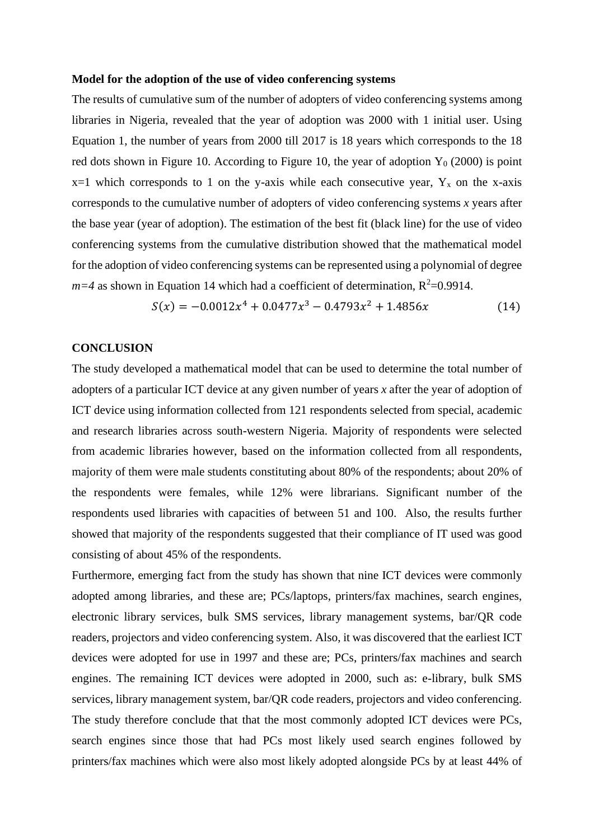#### **Model for the adoption of the use of video conferencing systems**

The results of cumulative sum of the number of adopters of video conferencing systems among libraries in Nigeria, revealed that the year of adoption was 2000 with 1 initial user. Using Equation 1, the number of years from 2000 till 2017 is 18 years which corresponds to the 18 red dots shown in Figure 10. According to Figure 10, the year of adoption  $Y_0$  (2000) is point  $x=1$  which corresponds to 1 on the y-axis while each consecutive year,  $Y_x$  on the x-axis corresponds to the cumulative number of adopters of video conferencing systems *x* years after the base year (year of adoption). The estimation of the best fit (black line) for the use of video conferencing systems from the cumulative distribution showed that the mathematical model for the adoption of video conferencing systems can be represented using a polynomial of degree  $m=4$  as shown in Equation 14 which had a coefficient of determination,  $R^2=0.9914$ .

$$
S(x) = -0.0012x^4 + 0.0477x^3 - 0.4793x^2 + 1.4856x \tag{14}
$$

### **CONCLUSION**

The study developed a mathematical model that can be used to determine the total number of adopters of a particular ICT device at any given number of years *x* after the year of adoption of ICT device using information collected from 121 respondents selected from special, academic and research libraries across south-western Nigeria. Majority of respondents were selected from academic libraries however, based on the information collected from all respondents, majority of them were male students constituting about 80% of the respondents; about 20% of the respondents were females, while 12% were librarians. Significant number of the respondents used libraries with capacities of between 51 and 100. Also, the results further showed that majority of the respondents suggested that their compliance of IT used was good consisting of about 45% of the respondents.

Furthermore, emerging fact from the study has shown that nine ICT devices were commonly adopted among libraries, and these are; PCs/laptops, printers/fax machines, search engines, electronic library services, bulk SMS services, library management systems, bar/QR code readers, projectors and video conferencing system. Also, it was discovered that the earliest ICT devices were adopted for use in 1997 and these are; PCs, printers/fax machines and search engines. The remaining ICT devices were adopted in 2000, such as: e-library, bulk SMS services, library management system, bar/QR code readers, projectors and video conferencing. The study therefore conclude that that the most commonly adopted ICT devices were PCs, search engines since those that had PCs most likely used search engines followed by printers/fax machines which were also most likely adopted alongside PCs by at least 44% of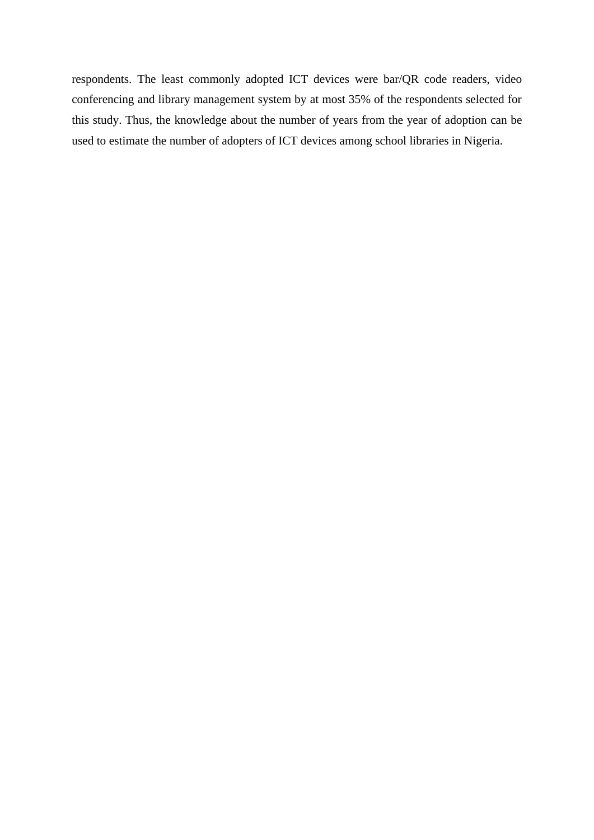respondents. The least commonly adopted ICT devices were bar/QR code readers, video conferencing and library management system by at most 35% of the respondents selected for this study. Thus, the knowledge about the number of years from the year of adoption can be used to estimate the number of adopters of ICT devices among school libraries in Nigeria.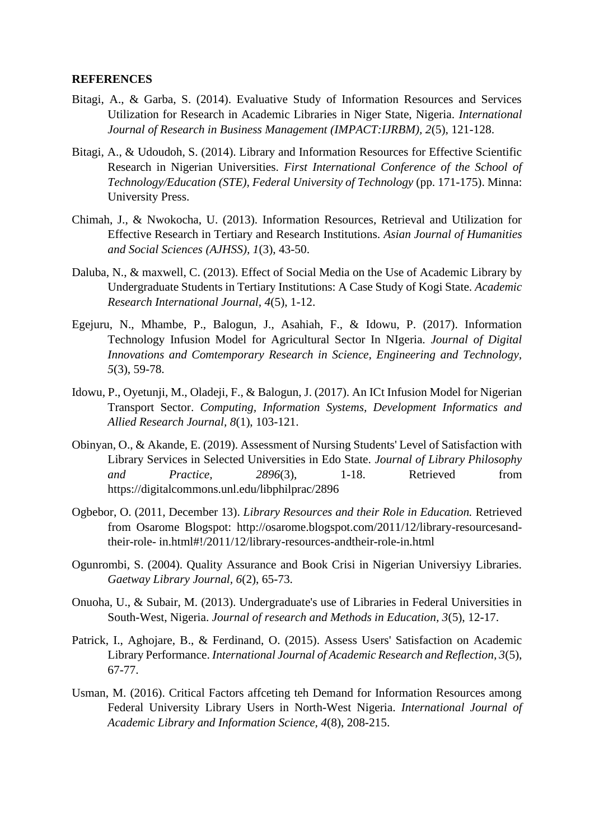#### **REFERENCES**

- Bitagi, A., & Garba, S. (2014). Evaluative Study of Information Resources and Services Utilization for Research in Academic Libraries in Niger State, Nigeria. *International Journal of Research in Business Management (IMPACT:IJRBM), 2*(5), 121-128.
- Bitagi, A., & Udoudoh, S. (2014). Library and Information Resources for Effective Scientific Research in Nigerian Universities. *First International Conference of the School of Technology/Education (STE), Federal University of Technology* (pp. 171-175). Minna: University Press.
- Chimah, J., & Nwokocha, U. (2013). Information Resources, Retrieval and Utilization for Effective Research in Tertiary and Research Institutions. *Asian Journal of Humanities and Social Sciences (AJHSS), 1*(3), 43-50.
- Daluba, N., & maxwell, C. (2013). Effect of Social Media on the Use of Academic Library by Undergraduate Students in Tertiary Institutions: A Case Study of Kogi State. *Academic Research International Journal, 4*(5), 1-12.
- Egejuru, N., Mhambe, P., Balogun, J., Asahiah, F., & Idowu, P. (2017). Information Technology Infusion Model for Agricultural Sector In NIgeria. *Journal of Digital Innovations and Comtemporary Research in Science, Engineering and Technology, 5*(3), 59-78.
- Idowu, P., Oyetunji, M., Oladeji, F., & Balogun, J. (2017). An ICt Infusion Model for Nigerian Transport Sector. *Computing, Information Systems, Development Informatics and Allied Research Journal, 8*(1), 103-121.
- Obinyan, O., & Akande, E. (2019). Assessment of Nursing Students' Level of Satisfaction with Library Services in Selected Universities in Edo State. *Journal of Library Philosophy and Practice, 2896*(3), 1-18. Retrieved from https://digitalcommons.unl.edu/libphilprac/2896
- Ogbebor, O. (2011, December 13). *Library Resources and their Role in Education.* Retrieved from Osarome Blogspot: http://osarome.blogspot.com/2011/12/library-resourcesandtheir-role- in.html#!/2011/12/library-resources-andtheir-role-in.html
- Ogunrombi, S. (2004). Quality Assurance and Book Crisi in Nigerian Universiyy Libraries. *Gaetway Library Journal, 6*(2), 65-73.
- Onuoha, U., & Subair, M. (2013). Undergraduate's use of Libraries in Federal Universities in South-West, Nigeria. *Journal of research and Methods in Education, 3*(5), 12-17.
- Patrick, I., Aghojare, B., & Ferdinand, O. (2015). Assess Users' Satisfaction on Academic Library Performance. *International Journal of Academic Research and Reflection, 3*(5), 67-77.
- Usman, M. (2016). Critical Factors affceting teh Demand for Information Resources among Federal University Library Users in North-West Nigeria. *International Journal of Academic Library and Information Science, 4*(8), 208-215.